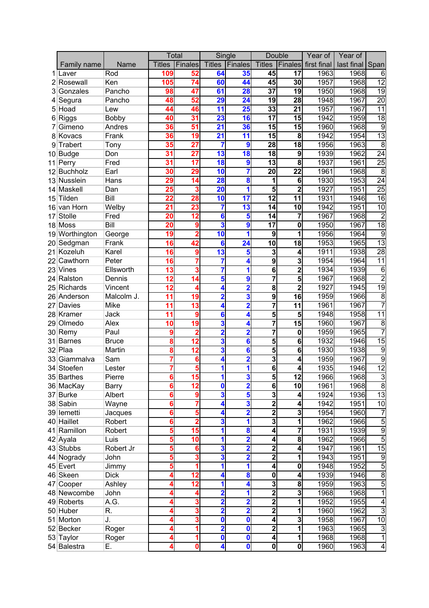|                 |                |              | <b>Total</b>  |                          | Single                  |                          | Double                  |                         | Year of     | Year of         |                  |
|-----------------|----------------|--------------|---------------|--------------------------|-------------------------|--------------------------|-------------------------|-------------------------|-------------|-----------------|------------------|
|                 | Family name    | <b>Name</b>  | <b>Titles</b> | Finales                  |                         | <b>Titles Finales</b>    |                         | <b>Titles Finales</b>   | first final | last final Span |                  |
|                 | Laver          | Rod          | 109           | 52                       | 64                      | 35                       | 45                      | $\overline{17}$         | 1963        | 1968            | 6                |
|                 | Rosewall       | Ken          | 105           | 74                       | 60                      | 44                       | 45                      | 30                      | 1957        | 1968            | $\overline{12}$  |
|                 | Gonzales       | Pancho       | 98            | 47                       | 61                      | 28                       | $\overline{37}$         | 19                      | 1950        | 1968            | $\overline{19}$  |
|                 | Segura         | Pancho       | 48            | 52                       | 29                      | 24                       | 19                      | 28                      | 1948        | 1967            | $\overline{20}$  |
| 5               | Hoad           | Lew          | 44            | 46                       | 11                      | $\overline{25}$          | 33                      | $\overline{21}$         | 1957        | 1967            | $\overline{11}$  |
|                 | Riggs          | <b>Bobby</b> | 40            | 31                       | 23                      | 16                       | $\overline{17}$         | 15                      | 1942        | 1959            | $\overline{18}$  |
|                 | Gimeno         | Andres       | 36            | 51                       | 21                      | 36                       | 15                      | 15                      | 1960        | 1968            | 9                |
|                 | 8 Kovacs       | Frank        | 36            | 19                       | $\overline{21}$         | 11                       | 15                      | 8                       | 1942        | 1954            | $\overline{13}$  |
| 9               | Trabert        | Tony         | 35            | 27                       | 7                       | 9                        | 28                      | 18                      | 1956        | 1963            | $\overline{8}$   |
| 10              | <b>Budge</b>   | Don          | 31            | 27                       | 13                      | $\overline{\textbf{18}}$ | 18                      | 9                       | 1939        | 1962            | $\overline{24}$  |
| 11              | Perry          | Fred         | 31            | 17                       | 18                      | $\boldsymbol{9}$         | 13                      | 8                       | 1937        | 1961            | $\overline{25}$  |
| 12 <sup>2</sup> | Buchholz       | Earl         | 30            | 29                       | 10                      | 7                        | 20                      | $\overline{22}$         | 1961        | 1968            | $\overline{8}$   |
|                 | 13 Nusslein    | Hans         | 29            | 14                       | 28                      | 8                        | 1                       | 6                       | 1930        | 1953            | $\overline{24}$  |
|                 | 14 Maskell     | Dan          | 25            |                          | 20                      | 1                        | 5                       | $\overline{2}$          | 1927        | 1951            | $\overline{25}$  |
| 15              | Tilden         | Bill         | 22            | 28                       | 10                      | 17                       | $\overline{12}$         | 11                      | 1931        | 1946            | 16               |
|                 | 16 van Horn    | Welby        | 21            | 23                       | 7                       | $\overline{\mathbf{13}}$ | 14                      | 10                      | 1942        | 1951            | 10               |
| 17              | Stolle         | Fred         | 20            | $\overline{12}$          | $6\phantom{a}$          | 5                        | $\overline{14}$         | 7                       | 1967        | 1968            |                  |
|                 | 18 Moss        | Bill         | 20            | 9                        | 3                       | 9                        | $\overline{17}$         | 0                       | 1950        | 1967            | $\overline{18}$  |
|                 | 19 Worthington | George       | 19            |                          | 10                      | 1                        | 9                       | 1                       | 1956        | 1964            | 9                |
| 20 <sup>2</sup> | Sedgman        | Frank        | 16            | 42                       | 6                       | 24                       | 10                      | 18                      | 1953        | 1965            | $\overline{13}$  |
| 21              | Kozeluh        | Karel        | 16            | 9                        | 13                      | 5                        | 3                       | 4                       | 1911        | 1938            | $\overline{28}$  |
|                 | Cawthorn       | Peter        | 16            |                          | 7                       | 4                        | 9                       | 3                       | 1954        | 1964            | $\overline{11}$  |
|                 | 23 Vines       | Ellsworth    | 13            | 3                        | 7                       | 1                        | 6                       | $\overline{2}$          | 1934        | 1939            | 6                |
|                 | 24 Ralston     | Dennis       | 12            | 14                       | 5                       | 9                        | 7                       | 5                       | 1967        | 1968            |                  |
|                 | 25 Richards    | Vincent      | 12            |                          | 4                       | 2                        | 8                       | $\overline{2}$          | 1927        | 1945            | $\overline{19}$  |
|                 | 26 Anderson    | Malcolm J.   | 11            | 19                       | $\overline{\mathbf{2}}$ | 3                        | $\overline{9}$          | $\overline{16}$         | 1959        | 1966            | 8                |
| 27              | Davies         | Mike         | 11            | 13                       | 4                       | 2                        | 7                       | $\overline{11}$         | 1961        | 1967            |                  |
|                 | 28 Kramer      | Jack         | 11            | 9                        | $6\phantom{a}$          | 4                        | 5                       | 5                       | 1948        | 1958            | $\overline{11}$  |
|                 | 29 Olmedo      | Alex         | 10            | 19                       | 3                       | 4                        | 7                       | $\overline{15}$         | 1960        | 1967            | 8                |
|                 | 30 Remy        | Paul         | 9             | 2                        | $\overline{\mathbf{2}}$ | $\overline{2}$           | 7                       | 0                       | 1959        | 1965            |                  |
| 31              | Barnes         | <b>Bruce</b> | 8             | 12                       | 3                       | 6                        | 5                       | 6                       | 1932        | 1946            | 15               |
|                 | 32 Plaa        | Martin       | 8             | $\overline{\mathbf{12}}$ | 3                       | 6                        | 5                       | 6                       | 1930        | 1938            | $\overline{9}$   |
|                 | 33 Giammalva   | Sam          |               | 6                        | 4                       | 2                        | 3                       | 4                       | 1959        | 1967            | 9                |
|                 | 34 Stoefen     | Lester       |               | 5                        | 1                       | 1                        | $6\phantom{1}$          | 4                       | 1935        | 1946            | $\overline{12}$  |
|                 | 35 Barthes     | Pierre       |               | 15                       | 1                       | 3                        | 5                       | 12                      | 1966        | 1968            | 3                |
|                 | 36 MacKay      | <b>Barry</b> | 6             | $\overline{12}$          | $\mathbf{0}$            | $\overline{\mathbf{2}}$  | $\overline{\mathbf{6}}$ | $\overline{10}$         | 1961        | 1968            | $\overline{8}$   |
|                 | 37 Burke       | Albert       |               | 9                        | $\overline{\mathbf{3}}$ | 5                        | 3                       | 4                       | 1924        | 1936            | $\overline{13}$  |
|                 | 38 Sabin       | Wayne        | 6             | 7                        | 4                       | 3                        | $\overline{2}$          | 4                       | 1942        | 1951            | 10               |
|                 | 39 lemetti     | Jacques      | 6             | 5                        | 4                       | $\overline{2}$           | $\overline{2}$          | 3                       | 1954        | 1960            | 7                |
|                 | 40 Haillet     | Robert       | 6             | 2                        | 3                       | 1                        | 3                       | 1                       | 1962        | 1966            | 5                |
|                 | 41 Ramillon    | Robert       | 5             | 15                       | 1                       | 8                        | 4                       | 7                       | 1931        | 1939            | $\overline{9}$   |
|                 | 42 Ayala       | Luis         |               | 10                       | 1                       | 2                        | 4                       | 8                       | 1962        | 1966            | 5                |
|                 | 43 Stubbs      | Robert Jr    |               | 6                        | 3                       | $\overline{2}$           | 2                       | 4                       | 1947        | 1961            | $\overline{15}$  |
|                 | 44 Nogrady     | John         |               | 3                        | $\overline{\mathbf{3}}$ | $\overline{\mathbf{2}}$  | $\mathbf{2}$            | 1                       | 1943        | 1951            | $\overline{9}$   |
|                 | 45 Evert       | Jimmy        |               |                          | 1                       | 1                        | $\overline{\mathbf{4}}$ | 0                       | 1948        | 1952            | $\overline{5}$   |
|                 | 46 Skeen       | <b>Dick</b>  |               | 12                       | 4                       | 8                        | $\mathbf 0$             | 4                       | 1939        | 1946            | $\overline{8}$   |
|                 | 47 Cooper      | Ashley       |               | 12                       | 1                       | 4                        | 3                       | 8                       | 1959        | 1963            | 5                |
|                 | 48 Newcombe    | John         |               |                          | $\overline{\mathbf{2}}$ | 1                        | $\overline{2}$          | 3                       | 1968        | 1968            | 1                |
|                 | 49 Roberts     | A.G.         |               |                          | $\overline{\mathbf{2}}$ | $\overline{\mathbf{2}}$  | $\overline{2}$          | 1                       | 1952        | 1955            | 4                |
|                 | 50 Huber       | R.           |               | 3                        | $\overline{\mathbf{2}}$ | 2                        | $\overline{2}$          | 1                       | 1960        | 1962            | 3                |
| 51              | Morton         | J.           |               | 3                        | $\mathbf 0$             | 0                        | 4                       | 3                       | 1958        | 1967            | 10               |
|                 | 52 Becker      | Roger        |               |                          | $\overline{\mathbf{2}}$ | 0                        | 2                       | 1                       | 1963        | 1965            | 3                |
|                 | 53 Taylor      | Roger        |               |                          | $\overline{\mathbf{0}}$ | $\mathbf 0$              | 4                       | 1                       | 1968        | 1968            | $\overline{1}$   |
|                 | 54 Balestra    | Е.           |               | 0                        | 4                       | $\overline{\textbf{0}}$  | $\overline{\mathbf{0}}$ | $\overline{\mathbf{0}}$ | 1960        | 1963            | $\blacktriangle$ |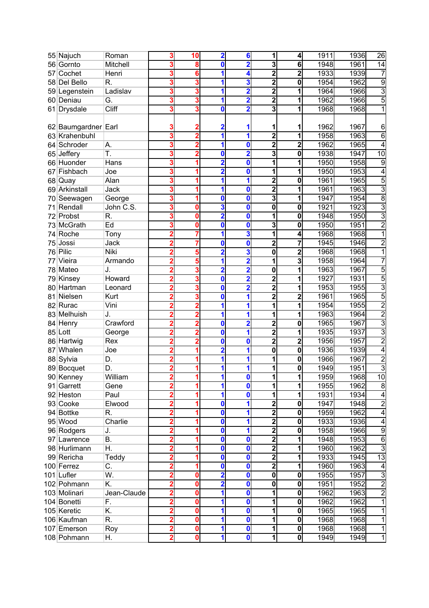|    | 55 Najuch           | Roman       | 3              | 10 | $\overline{\mathbf{2}}$ | 6                       | 1                       | 4              | 1911 | 1936 | $\overline{26}$         |
|----|---------------------|-------------|----------------|----|-------------------------|-------------------------|-------------------------|----------------|------|------|-------------------------|
| 56 | Gornto              | Mitchell    |                | 8  | 0                       | $\overline{\mathbf{2}}$ | 3                       | 6              | 1948 | 1961 | $\overline{14}$         |
| 57 | Cochet              | Henri       |                | 6  | 1                       | 4                       | $\overline{\mathbf{2}}$ | 2              | 1933 | 1939 | 7                       |
| 58 | Del Bello           | R.          |                |    | 1                       | 3                       | $\overline{\mathbf{c}}$ | 0              | 1954 | 1962 | 9                       |
|    | 59 Legenstein       | Ladislav    | 3              | 3  | 1                       | $\overline{2}$          | $\overline{\mathbf{2}}$ | 1              | 1964 | 1966 | 3                       |
| 60 | Deniau              | G.          | 3              | 3  | 1                       | $\overline{2}$          | $\overline{2}$          | 1              | 1962 | 1966 | 5                       |
| 61 | <b>Drysdale</b>     | Cliff       |                |    | 0                       | $\overline{\mathbf{2}}$ | 3                       | 1              | 1968 | 1968 |                         |
|    |                     |             |                |    |                         |                         |                         |                |      |      |                         |
|    | 62 Baumgardner Earl |             |                |    | 2                       | 1                       | 1                       | 1              | 1962 | 1967 | 6                       |
|    | 63 Krahenbuhl       |             |                | 2  | 1                       | 1                       | $\overline{2}$          | 1              | 1958 | 1963 | 6                       |
| 64 | Schroder            | А.          |                | 2  | 1                       | 0                       | $\overline{\mathbf{2}}$ | $\overline{2}$ | 1962 | 1965 | 4                       |
| 65 | Jeffery             | T.          |                |    | $\bf{0}$                | $\overline{\mathbf{2}}$ | 3                       | 0              | 1938 | 1947 | 10                      |
|    | 66 Huonder          | <b>Hans</b> |                |    | 2                       | $\mathbf 0$             | 1                       | 1              | 1950 | 1958 | 9                       |
| 67 | Fishbach            | Joe         |                |    | $\overline{2}$          | 0                       | 1                       | 1              | 1950 | 1953 | 4                       |
|    | 68 Quay             | Alan        |                |    | 1                       | 1                       | 2                       | 0              | 1961 | 1965 | 5                       |
|    | 69 Arkinstall       | Jack        | 3              |    | 1                       | $\mathbf 0$             | $\overline{\mathbf{2}}$ | 1              | 1961 | 1963 | 3                       |
| 70 | Seewagen            | George      | 3              |    | 0                       | $\mathbf 0$             | 3                       | 1              | 1947 | 1954 | $\overline{8}$          |
| 71 | Rendall             | John C.S.   |                |    | 3                       | 0                       | 0                       | 0              | 1921 | 1923 | 3                       |
| 72 | Probst              | R.          |                | 0  | $\overline{\mathbf{2}}$ | $\mathbf 0$             | 1                       | 0              | 1948 | 1950 | 3                       |
| 73 | <b>McGrath</b>      | Ed          |                | 0  | 0                       | 0                       | 3                       | 0              | 1950 | 1951 | $\overline{c}$          |
|    |                     |             |                |    | 1                       | 3                       | 1                       |                | 1968 | 1968 |                         |
| 74 | Roche               | Tony        | 2              |    |                         |                         |                         | 4              | 1945 |      |                         |
| 75 | Jossi               | Jack        |                |    | 0                       | $\mathbf 0$             | $\overline{\mathbf{2}}$ | 7              |      | 1946 | 2                       |
| 76 | Pilic               | Niki        |                |    | $\overline{2}$          | 3                       | 0                       | $\overline{2}$ | 1968 | 1968 |                         |
| 77 | Vieira              | Armando     |                |    |                         | $\overline{\mathbf{2}}$ | 1                       | 3              | 1958 | 1964 |                         |
|    | 78 Mateo            | J.          |                | 3  | $\overline{\mathbf{2}}$ | $\overline{\mathbf{2}}$ | 0                       | 1              | 1963 | 1967 | 5                       |
| 79 | Kinsey              | Howard      |                | 3  | 0                       | $\overline{\mathbf{2}}$ | 2                       | 1              | 1927 | 1931 | 5                       |
| 80 | Hartman             | Leonard     |                |    | 0                       | $\overline{\mathbf{2}}$ | $\overline{2}$          | 1              | 1953 | 1955 | $\overline{3}$          |
| 81 | Nielsen             | Kurt        |                |    | 0                       | 1                       | $\overline{2}$          | 2              | 1961 | 1965 | 5                       |
|    | 82 Rurac            | Vini        |                |    | 1                       | 1                       | 1                       | 1              | 1954 | 1955 | $\overline{2}$          |
|    | 83 Melhuish         | J.          |                |    | 1                       | 1                       | 1                       | 1              | 1963 | 1964 | $\overline{2}$          |
| 84 | Henry               | Crawford    |                |    | 0                       | $\overline{\mathbf{2}}$ | 2                       | 0              | 1965 | 1967 | 3                       |
|    | 85 Lott             | George      |                |    | $\bf{0}$                | $\overline{\mathbf{1}}$ | $\overline{2}$          | 1              | 1935 | 1937 | $\overline{3}$          |
| 86 | Hartwig             | Rex         |                |    | 0                       | $\mathbf 0$             | $\overline{2}$          | $\overline{2}$ | 1956 | 1957 | $\overline{2}$          |
| 87 | Whalen              | Joe         |                |    | 2                       | 1                       | $\overline{\mathbf{0}}$ | 0              | 1936 | 1939 | 4                       |
| 88 | Sylvia              | D.          |                |    | 1                       | 1                       | 1                       | 0              | 1966 | 1967 | $\overline{\mathbf{c}}$ |
|    | 89 Bocquet          | D.          |                |    | 1                       | 1                       | 1                       | 0              | 1949 | 1951 | 3                       |
|    | 90 Kenney           | William     |                |    | 1                       | $\boldsymbol{0}$        | 1                       | 1              | 1959 | 1968 | 10                      |
|    | 91 Garrett          | Gene        | $\overline{2}$ |    | 1                       | $\mathbf 0$             | 1                       | 1              | 1955 | 1962 | $\bf 8$                 |
|    | 92 Heston           | Paul        |                |    | 1                       | 0                       | 1                       | 1              | 1931 | 1934 | 4                       |
|    | 93 Cooke            | Elwood      |                |    | 0                       | 1                       | $\overline{\mathbf{c}}$ | 0              | 1947 | 1948 | $\overline{2}$          |
|    | 94 Bottke           | R.          |                |    | 0                       | 1                       | $\overline{\mathbf{2}}$ | 0              | 1959 | 1962 | 4                       |
|    | 95 Wood             | Charlie     |                |    | 0                       | 1                       | $\overline{\mathbf{2}}$ | 0              | 1933 | 1936 | 4                       |
|    | 96 Rodgers          | J.          |                |    | 0                       | 1                       | $\overline{\mathbf{2}}$ | 0              | 1958 | 1966 | 9                       |
|    | 97 Lawrence         | Β.          |                |    | $\boldsymbol{0}$        | 0                       | $\overline{\mathbf{2}}$ | 1              | 1948 | 1953 | $\overline{6}$          |
|    | 98 Hurlimann        | Η.          |                |    | $\bf{0}$                | $\mathbf 0$             | $\overline{\mathbf{2}}$ |                | 1960 | 1962 | 3                       |
|    | 99 Rericha          | Teddy       |                |    | $\bf{0}$                | 0                       | $\overline{\mathbf{c}}$ | 1              | 1933 | 1945 | 13                      |
|    | 100 Ferrez          | C.          |                |    | $\bf{0}$                | 0                       | $\mathbf{2}$            | 1              | 1960 | 1963 | 4                       |
|    | 101 Lufler          | W.          |                | 0  | $\overline{\mathbf{2}}$ | 0                       | 0                       | 0              | 1955 | 1957 | 3                       |
|    | 102 Pohmann         | K.          |                | 0  | $\overline{2}$          | $\mathbf 0$             | $\mathbf 0$             | 0              | 1951 | 1952 | $\overline{2}$          |
|    | 103 Molinari        | Jean-Claude |                | O  |                         | $\mathbf 0$             | 1                       | 0              | 1962 | 1963 | $\overline{2}$          |
|    | 104 Bonetti         | F.          |                | O  | 1                       | 0                       | 1                       | 0              | 1962 | 1962 | 1                       |
|    | 105 Keretic         | Κ.          |                | 0  | 1                       | 0                       | 1                       | 0              | 1965 | 1965 | 1                       |
|    | 106 Kaufman         | R.          |                | 0  | 1                       | $\mathbf 0$             | 1                       | 0              | 1968 | 1968 |                         |
|    | 107 Emerson         | Roy         | 2              | 0  | 1                       | $\mathbf 0$             | 1                       | 0              | 1968 | 1968 |                         |
|    | 108 Pohmann         | Η.          |                | 0  | 1                       | $\mathbf 0$             | 1                       | 0              | 1949 | 1949 |                         |
|    |                     |             |                |    |                         |                         |                         |                |      |      |                         |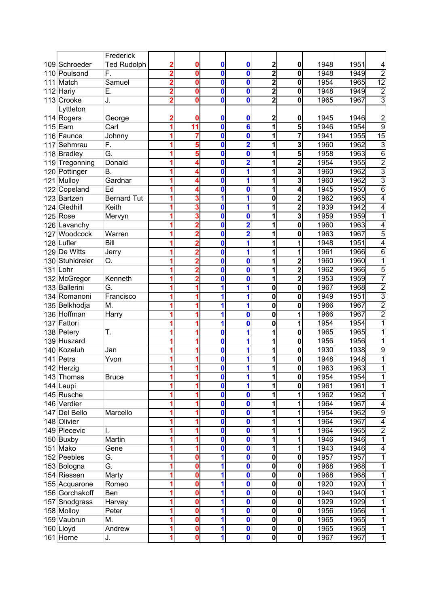| $\overline{2}$<br>1948<br>109 Schroeder<br><b>Ted Rudolph</b><br>0<br>0<br>$\mathbf 0$<br>0<br>$\overline{2}$<br>F.<br>0<br>$\overline{\mathbf{0}}$<br>110 Poulsond<br>0<br>1948<br>0<br>$\overline{2}$<br>0<br>Match<br>Samuel<br>0<br>0<br>$\mathbf 0$<br>1954<br>111<br>$\overline{\mathbf{2}}$<br>Ε.<br>0<br>112 Hariy<br>0<br>0<br>$\mathbf 0$<br>1948<br>2<br>$\overline{\mathbf{2}}$<br>$\mathbf{0}$<br>$\mathbf 0$<br>113 Crooke<br>0<br>0<br>1965<br>J.<br>2<br>Lyttleton | 1951<br>4<br>$\overline{2}$<br>1949<br>$\overline{12}$<br>1965<br>$\overline{2}$<br>1949<br>3<br>1967<br>$\overline{c}$<br>1946<br>$\overline{9}$<br>1954<br>15<br>1955<br>3<br>1962 |
|------------------------------------------------------------------------------------------------------------------------------------------------------------------------------------------------------------------------------------------------------------------------------------------------------------------------------------------------------------------------------------------------------------------------------------------------------------------------------------|--------------------------------------------------------------------------------------------------------------------------------------------------------------------------------------|
|                                                                                                                                                                                                                                                                                                                                                                                                                                                                                    |                                                                                                                                                                                      |
|                                                                                                                                                                                                                                                                                                                                                                                                                                                                                    |                                                                                                                                                                                      |
|                                                                                                                                                                                                                                                                                                                                                                                                                                                                                    |                                                                                                                                                                                      |
|                                                                                                                                                                                                                                                                                                                                                                                                                                                                                    |                                                                                                                                                                                      |
|                                                                                                                                                                                                                                                                                                                                                                                                                                                                                    |                                                                                                                                                                                      |
|                                                                                                                                                                                                                                                                                                                                                                                                                                                                                    |                                                                                                                                                                                      |
| 0<br>2<br>1945<br>114 Rogers<br>0<br>0<br>George<br>0                                                                                                                                                                                                                                                                                                                                                                                                                              |                                                                                                                                                                                      |
| $\overline{\mathbf{1}}$<br>11<br>0<br>$6\phantom{a}$<br>1946<br>$115$ Earn<br>Carl<br>5                                                                                                                                                                                                                                                                                                                                                                                            |                                                                                                                                                                                      |
| Johnny<br>0<br>1<br>7<br>1941<br>116 Faunce<br>0<br>7                                                                                                                                                                                                                                                                                                                                                                                                                              |                                                                                                                                                                                      |
| F.<br>5<br>0<br>$\overline{2}$<br>1<br>3<br>1960<br>Sehmrau<br>117                                                                                                                                                                                                                                                                                                                                                                                                                 |                                                                                                                                                                                      |
| G.<br>118 Bradley<br>0<br>1958<br>1<br>5<br>0<br>5                                                                                                                                                                                                                                                                                                                                                                                                                                 | $\overline{6}$<br>1963                                                                                                                                                               |
| 119 Tregonning<br>Donald<br>0<br>$\overline{2}$<br>1<br>2<br>1954<br>4                                                                                                                                                                                                                                                                                                                                                                                                             | $\overline{2}$<br>1955                                                                                                                                                               |
| 120 Pottinger<br>Β.<br>0<br>1<br>1<br>3<br>1960                                                                                                                                                                                                                                                                                                                                                                                                                                    | 3<br>1962                                                                                                                                                                            |
| 121 Mulloy<br>1960<br>Gardnar<br>0<br>1<br>3<br>1                                                                                                                                                                                                                                                                                                                                                                                                                                  | $\overline{3}$<br>1962                                                                                                                                                               |
| 122 Copeland<br>Ed<br>1<br>1945<br>0<br>0<br>4                                                                                                                                                                                                                                                                                                                                                                                                                                     | 6<br>1950                                                                                                                                                                            |
| 123 Bartzen<br>1962<br><b>Bernard Tut</b><br>1<br>0<br>3<br>1<br>2                                                                                                                                                                                                                                                                                                                                                                                                                 | 1965<br>4                                                                                                                                                                            |
| 124 Gledhill<br>1<br>Keith<br>$\bf{0}$<br>$\overline{2}$<br>1939<br>3<br>1                                                                                                                                                                                                                                                                                                                                                                                                         | 1942<br>4                                                                                                                                                                            |
| 3<br>1959<br>125 Rose<br>0<br>0<br>1<br>Mervyn                                                                                                                                                                                                                                                                                                                                                                                                                                     | 1959                                                                                                                                                                                 |
| $\overline{\mathbf{2}}$<br>0<br>126 Lavanchy<br>1<br>$\mathbf 0$<br>1960                                                                                                                                                                                                                                                                                                                                                                                                           | 1963<br>4                                                                                                                                                                            |
| $\overline{\mathbf{2}}$<br>127 Woodcock<br>Warren<br>0<br>1<br>1963<br>0                                                                                                                                                                                                                                                                                                                                                                                                           | 5<br>1967                                                                                                                                                                            |
| 1<br>128 Lufler<br>Bill<br>0<br>1<br>1948                                                                                                                                                                                                                                                                                                                                                                                                                                          | 1951<br>4                                                                                                                                                                            |
| 129 De Witts<br>1<br>1<br>1961<br>Jerry<br>0                                                                                                                                                                                                                                                                                                                                                                                                                                       | 1966<br>6                                                                                                                                                                            |
| 0<br>1<br>1960<br>130 Stuhldreier<br>О.<br>0<br>2                                                                                                                                                                                                                                                                                                                                                                                                                                  | 1960<br>1                                                                                                                                                                            |
| 131 Lohr<br>0<br>0<br>1<br>2<br>1962                                                                                                                                                                                                                                                                                                                                                                                                                                               | 5<br>1966                                                                                                                                                                            |
| 1<br>Kenneth<br>0<br>2<br>1953<br>132 McGregor<br>0                                                                                                                                                                                                                                                                                                                                                                                                                                | 7<br>1959                                                                                                                                                                            |
| 133 Ballerini<br>0<br>G.<br>1<br>1<br>$\mathbf 0$<br>1967                                                                                                                                                                                                                                                                                                                                                                                                                          | $\overline{2}$<br>1968                                                                                                                                                               |
| 1<br>0<br>$\mathbf 0$<br>1949<br>134 Romanoni<br>Francisco<br>1                                                                                                                                                                                                                                                                                                                                                                                                                    | 3<br>1951                                                                                                                                                                            |
| $\overline{\mathbf{0}}$<br>135 Belkhodja<br>M.<br>1<br>1<br>$\mathbf 0$<br>1966                                                                                                                                                                                                                                                                                                                                                                                                    | $\overline{2}$<br>1967                                                                                                                                                               |
| 136 Hoffman<br>0<br>1<br>0<br>1966<br>1<br>Harry                                                                                                                                                                                                                                                                                                                                                                                                                                   | $\overline{2}$<br>1967                                                                                                                                                               |
| 0<br>137 Fattori<br>1<br>0<br>1954<br>1                                                                                                                                                                                                                                                                                                                                                                                                                                            | 1954<br>1                                                                                                                                                                            |
| 1<br>138 Petery<br>T.<br>0<br>1965<br>1<br>0                                                                                                                                                                                                                                                                                                                                                                                                                                       | 1965                                                                                                                                                                                 |
| $\overline{\mathbf{1}}$<br>139 Huszard<br>0<br>1956<br>1<br>$\mathbf 0$                                                                                                                                                                                                                                                                                                                                                                                                            | 1956                                                                                                                                                                                 |
| 1<br>140 Kozeluh<br>0<br>1<br>1930<br>Jan<br>0                                                                                                                                                                                                                                                                                                                                                                                                                                     | 9<br>1938                                                                                                                                                                            |
| 1<br>141 Petra<br>Yvon<br>0<br>1948<br>1<br>0                                                                                                                                                                                                                                                                                                                                                                                                                                      | 1948<br>1                                                                                                                                                                            |
| 142 Herzig<br>0<br>1<br>1963<br>1<br>0                                                                                                                                                                                                                                                                                                                                                                                                                                             | 1963<br>1                                                                                                                                                                            |
| 1954<br>143 Thomas<br><b>Bruce</b><br>U<br>1<br>$\bf{0}$                                                                                                                                                                                                                                                                                                                                                                                                                           | 1954                                                                                                                                                                                 |
| $\mathbf{0}$<br>1<br>1<br>$\mathbf 0$<br>144 Leupi<br>1961                                                                                                                                                                                                                                                                                                                                                                                                                         | 1961<br>1                                                                                                                                                                            |
| 0<br>145 Rusche<br>1<br>1962<br>0                                                                                                                                                                                                                                                                                                                                                                                                                                                  | 1962<br>1                                                                                                                                                                            |
| 146 Verdier<br>1964<br>0<br>1<br>0                                                                                                                                                                                                                                                                                                                                                                                                                                                 | 1967<br>4                                                                                                                                                                            |
| Marcello<br>147 Del Bello<br>1954<br>0<br>1<br>0<br>1                                                                                                                                                                                                                                                                                                                                                                                                                              | 9<br>1962                                                                                                                                                                            |
| 148 Olivier<br>1<br>1964<br>0<br>0<br>1                                                                                                                                                                                                                                                                                                                                                                                                                                            | 1967<br>4                                                                                                                                                                            |
| 149 Plecevic<br>0<br>1<br>1964<br>0<br>I.<br>1                                                                                                                                                                                                                                                                                                                                                                                                                                     | $\overline{c}$<br>1965                                                                                                                                                               |
| Martin<br>O<br>1<br>1946<br>150 Buxby<br>0<br>1                                                                                                                                                                                                                                                                                                                                                                                                                                    | 1<br>1946                                                                                                                                                                            |
| 151 Mako<br>0<br>1943<br>Gene<br>0<br>1<br>1                                                                                                                                                                                                                                                                                                                                                                                                                                       | 1946<br>4                                                                                                                                                                            |
| G.<br>152 Peebles<br>1<br>0<br>1957<br>0<br>0<br>$\mathbf 0$                                                                                                                                                                                                                                                                                                                                                                                                                       | 1<br>1957                                                                                                                                                                            |
| G.<br>1<br>$\bf{0}$<br>0<br>1968<br>153 Bologna<br>$\mathbf 0$<br>0                                                                                                                                                                                                                                                                                                                                                                                                                | 1968<br>1                                                                                                                                                                            |
| 154 Riessen<br>Marty<br>$\mathbf 0$<br>1968<br>1<br>0<br>0<br>0                                                                                                                                                                                                                                                                                                                                                                                                                    | 1968<br>1                                                                                                                                                                            |
| 1920<br>155 Acquarone<br>Romeo<br>1<br>$\mathbf 0$<br>0<br>0<br>0                                                                                                                                                                                                                                                                                                                                                                                                                  | 1920<br>1                                                                                                                                                                            |
| $\overline{\mathbf{0}}$<br>156 Gorchakoff<br>1<br>0<br>$\mathbf 0$<br>1940<br>Ben<br>0                                                                                                                                                                                                                                                                                                                                                                                             | 1940<br>1                                                                                                                                                                            |
| $\overline{\mathbf{o}}$<br>1929<br>157 Snodgrass<br>1<br>Harvey<br>0<br>0<br>0                                                                                                                                                                                                                                                                                                                                                                                                     | 1929<br>1                                                                                                                                                                            |
| $\overline{\mathbf{o}}$<br>158 Molloy<br>1<br>0<br>1956<br>Peter<br>0<br>0                                                                                                                                                                                                                                                                                                                                                                                                         | 1956<br>1                                                                                                                                                                            |
| 159 Vaubrun<br>$\overline{\mathbf{o}}$<br>M.<br>1965<br>1<br>0<br>$\bf{0}$<br>0                                                                                                                                                                                                                                                                                                                                                                                                    | 1965<br>1                                                                                                                                                                            |
| $\overline{\mathbf{0}}$<br>160 Lloyd<br>Andrew<br>0<br>0<br>$\mathbf 0$<br>1965<br>1                                                                                                                                                                                                                                                                                                                                                                                               | 1<br>1965                                                                                                                                                                            |
| $\overline{\textbf{0}}$<br>$\overline{\mathbf{o}}$<br>161 Horne<br>1<br>0<br>1967<br>0<br>J.                                                                                                                                                                                                                                                                                                                                                                                       | 1<br>1967                                                                                                                                                                            |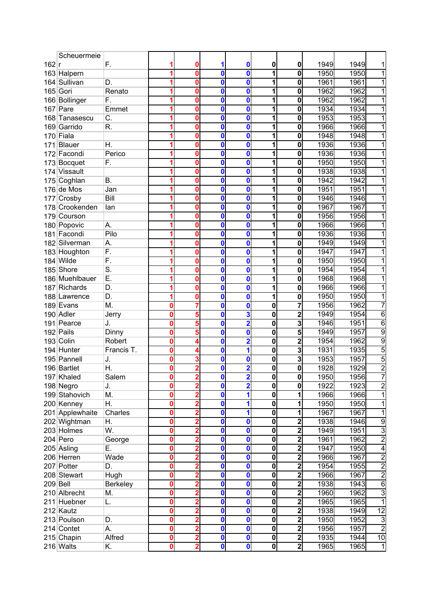|       | Scheuermeie     |                           |   |                |              |                         |                         |                         |      |      |                         |
|-------|-----------------|---------------------------|---|----------------|--------------|-------------------------|-------------------------|-------------------------|------|------|-------------------------|
| 162 r |                 | F.                        |   | 0              | 1            | 0                       | 0                       | 0                       | 1949 | 1949 | 1                       |
|       | 163 Halpern     |                           |   | 0              | 0            | 0                       | 1                       | 0                       | 1950 | 1950 | 1                       |
| 164   | Sullivan        | D.                        |   | 0              | 0            | 0                       | 1                       | 0                       | 1961 | 1961 | $\overline{1}$          |
|       | 165 Gori        | Renato                    |   | 0              | 0            | 0                       | 1                       | 0                       | 1962 | 1962 | 1                       |
|       |                 |                           |   |                |              |                         |                         |                         |      |      |                         |
|       | 166 Bollinger   | F.                        |   | 0              | 0            | 0                       | 1                       | 0                       | 1962 | 1962 | 1                       |
|       | $167$ Pare      | Emmet                     |   | 0              | 0            | 0                       | 1                       | $\mathbf 0$             | 1934 | 1934 | 1                       |
|       | 168 Tanasescu   | C.                        |   | 0              | 0            | 0                       | 1                       | 0                       | 1953 | 1953 | 1                       |
|       | 169 Garrido     | R.                        |   | 0              | 0            | 0                       | 1                       | 0                       | 1966 | 1966 | 1                       |
|       | 170 Fiala       |                           |   | 0              | 0            | 0                       | 1                       | 0                       | 1948 | 1948 | 1                       |
| 171   | Blauer          | Η.                        |   | 0              | 0            | 0                       | 1                       | 0                       | 1936 | 1936 | 1                       |
|       | 172 Facondi     | Perico                    |   | 0              | 0            | 0                       | 1                       | 0                       | 1936 | 1936 | 1                       |
|       | 173 Bocquet     | F.                        |   | 0              | $\mathbf{0}$ | 0                       | $\mathbf{1}$            | 0                       | 1950 | 1950 | 1                       |
|       | 174 Vissault    |                           |   | 0              | 0            | 0                       | 1                       | 0                       | 1938 | 1938 | 1                       |
|       | 175 Coghlan     | В.                        |   | 0              | 0            | 0                       | 1                       | 0                       | 1942 | 1942 | 1                       |
| 176   | de Mos          | Jan                       |   | 0              | 0            | 0                       | 1                       | 0                       | 1951 | 1951 | 1                       |
| 177   | Crosby          | Bill                      |   | 0              | 0            | 0                       | 1                       | 0                       | 1946 | 1946 | 1                       |
|       | 178 Crookenden  | lan                       |   | 0              | $\mathbf 0$  | 0                       | 1                       | 0                       | 1967 | 1967 | 1                       |
|       | 179 Courson     |                           |   | 0              | 0            | 0                       | 1                       | 0                       | 1956 | 1956 | 1                       |
|       | 180 Popovic     | А.                        |   | 0              | 0            | 0                       | 1                       | 0                       | 1966 | 1966 | 1                       |
|       | 181 Facondi     | Pilo                      |   | 0              | 0            | 0                       | 1                       | 0                       | 1936 | 1936 | 1                       |
|       | 182 Silverman   | А.                        |   | 0              | 0            | 0                       | 1                       | 0                       | 1949 | 1949 | 1                       |
|       | 183 Houghton    | F.                        |   | 0              | 0            | 0                       | 1                       | $\mathbf 0$             | 1947 | 1947 | 1                       |
|       | 184 Wilde       | F.                        |   | 0              | 0            | 0                       | 1                       | $\mathbf 0$             | 1950 | 1950 | 1                       |
|       | 185 Shore       | $\overline{\mathsf{S}}$ . |   | 0              | 0            | 0                       | 1                       | $\overline{\mathbf{0}}$ | 1954 | 1954 | 1                       |
|       | 186 Muehlbauer  | Ē.                        |   | 0              | 0            | 0                       | 1                       |                         | 1968 | 1968 | 1                       |
|       |                 |                           |   |                |              |                         |                         | 0                       |      |      |                         |
|       | 187 Richards    | D.                        |   | 0              | 0            | 0                       | 1                       | 0                       | 1966 | 1966 | 1                       |
|       | 188 Lawrence    | D.                        |   | 0              | 0            | 0                       | 1                       | 0                       | 1950 | 1950 | 1                       |
|       | 189 Evans       | M.                        | 0 | 7              | 0            | 0                       | 0                       | 7                       | 1956 | 1962 | 7                       |
|       | 190 Adler       | Jerry                     | 0 | 5              | 0            | 3                       | $\mathbf 0$             | 2                       | 1949 | 1954 | 6                       |
|       | 191 Pearce      | J.                        | 0 | 5              | 0            | $\overline{\mathbf{2}}$ | 0                       | 3                       | 1946 | 1951 | 6                       |
|       | 192 Pails       | Dinny                     | 0 | 5              | 0            | 0                       | 0                       | 5                       | 1949 | 1957 | 9                       |
|       | 193 Colin       | Robert                    | 0 | 4              | 0            | $\overline{\mathbf{2}}$ | 0                       | 2                       | 1954 | 1962 | $\overline{9}$          |
|       | 194 Hunter      | Francis T.                | 0 | 4              | $\mathbf{0}$ | 1                       | 0                       | 3                       | 1931 | 1935 | $\overline{5}$          |
|       | 195 Pannell     | J.                        | 0 | 3              | 0            | 0                       | $\mathbf 0$             | 3                       | 1953 | 1957 | $\overline{5}$          |
|       | 196 Bartlet     | Н.                        | 0 | $\overline{2}$ | 0            | $\overline{2}$          | $\mathbf 0$             | 0                       | 1928 | 1929 | $\overline{2}$          |
|       | 197 Khaled      | Salem                     | 0 | 2              | 0            | $\overline{\mathbf{2}}$ | 0                       | 0                       | 1950 | 1956 | ſ                       |
|       | 198 Negro       | J.                        | 0 | 2              | 0            | $\overline{\mathbf{2}}$ | $\mathbf 0$             | 0                       | 1922 | 1923 | $\overline{2}$          |
|       | 199 Stahovich   | M.                        | 0 | 2              | 0            | 1                       | $\mathbf 0$             |                         | 1966 | 1966 | $\overline{1}$          |
|       | 200 Kenney      | Η.                        | 0 | 2              | 0            | 1                       | $\mathbf 0$             | 1                       | 1950 | 1950 | $\overline{\mathbf{1}}$ |
|       | 201 Applewhaite | Charles                   | 0 | 2              | 0            | 1                       | $\mathbf 0$             | 1                       | 1967 | 1967 | $\overline{1}$          |
|       | 202 Wightman    | Η.                        | 0 | 2              | 0            | 0                       | 0                       | 2                       | 1938 | 1946 | $\overline{9}$          |
|       | 203 Holmes      | W.                        | O | $\overline{2}$ | 0            | 0                       | $\mathbf 0$             | 2                       | 1949 | 1951 | $\overline{3}$          |
|       | 204 Pero        | George                    | 0 | $\overline{2}$ | 0            | 0                       | $\mathbf 0$             | 2                       | 1961 | 1962 | $\overline{2}$          |
|       | 205 Asling      | Ε.                        | 0 | 2              | 0            | 0                       | $\mathbf 0$             | 2                       | 1947 | 1950 | $\overline{\mathbf{4}}$ |
|       | 206 Herren      | Wade                      | 0 | 2              | 0            | 0                       | $\mathbf{0}$            | 2                       | 1966 | 1967 | $\overline{2}$          |
|       | 207 Potter      | D.                        | 0 | 2              | 0            | 0                       | $\mathbf 0$             | $\overline{c}$          | 1954 | 1955 | $\overline{2}$          |
|       | 208 Stewart     | Hugh                      | 0 |                | 0            | 0                       | $\mathbf 0$             | $\overline{c}$          | 1966 | 1967 | $\overline{2}$          |
|       | 209 Bell        |                           | 0 |                | 0            | 0                       | $\mathbf 0$             |                         | 1938 | 1943 | 6                       |
|       |                 | Berkeley                  |   |                | $\mathbf 0$  |                         | $\overline{\mathbf{o}}$ | 2                       |      |      |                         |
|       | 210 Albrecht    | М.                        | 0 |                |              | 0                       |                         | 2                       | 1960 | 1962 | دن                      |
|       | 211 Huebner     | L.                        | 0 | 2              | $\mathbf 0$  | 0                       | $\mathbf 0$             | 2                       | 1965 | 1965 | 1                       |
|       | 212 Kautz       |                           | 0 | 2              | $\mathbf{0}$ | 0                       | $\mathbf 0$             | 2                       | 1938 | 1949 | $\overline{12}$         |
|       | 213 Poulson     | D.                        | 0 | 2              | 0            | 0                       | $\mathbf 0$             | 2                       | 1950 | 1952 | 3                       |
|       | 214 Contet      | А.                        | 0 | 2              | 0            | 0                       | $\overline{\mathbf{o}}$ | 2                       | 1956 | 1957 | $\overline{c}$          |
|       | 215 Chapin      | Alfred                    | 0 | $\overline{2}$ | 0            | 0                       | 0                       | 2                       | 1935 | 1944 | $\overline{10}$         |
|       | 216 Walts       | Κ.                        | 0 | $\overline{2}$ | $\mathbf 0$  | 0                       | $\overline{\mathbf{o}}$ | $\overline{\mathbf{2}}$ | 1965 | 1965 | $\overline{1}$          |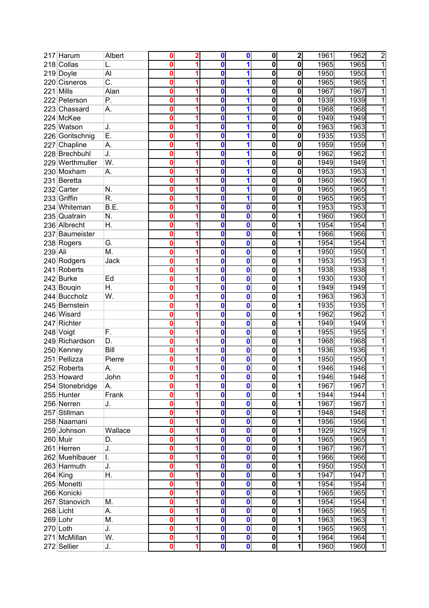|         | 217 Harum       | Albert           | 0 | 2 | 0            | 0        | $\pmb{0}$               | 2           | 1961 | 1962 | $\overline{2}$ |
|---------|-----------------|------------------|---|---|--------------|----------|-------------------------|-------------|------|------|----------------|
|         | 218 Collas      | L.               |   |   | 0            | 1        | $\overline{\mathbf{0}}$ | 0           | 1965 | 1965 | $\overline{1}$ |
|         | 219 Doyle       | Al               | 0 |   | 0            | 1        | $\bf{0}$                | 0           | 1950 | 1950 | 1              |
|         | 220 Cisneros    | $\overline{C}$ . | 0 |   | 0            | 1        | $\bf{0}$                | 0           | 1965 | 1965 | 1              |
| 221     | Mills           | Alan             | 0 |   | 0            | 1        | 0                       | 0           | 1967 | 1967 | 1              |
|         | 222 Peterson    | Ρ.               | Ω |   | 0            | 1        | $\mathbf 0$             | 0           | 1939 | 1939 | 1              |
|         | 223 Chassard    | А.               | በ |   | 0            | 1        | 0                       | $\mathbf 0$ | 1968 | 1968 | 1              |
|         | 224 McKee       |                  | Ω |   | 0            | 1        | $\bf{0}$                | $\mathbf 0$ | 1949 | 1949 | 1              |
|         | 225 Watson      | J.               | Ω |   | 0            | 1        | $\bf{0}$                | 0           | 1963 | 1963 | 1              |
|         | 226 Goritschnig | Ε.               | 0 |   | 0            | 1        | 0                       | 0           | 1935 | 1935 | 1              |
|         | 227 Chapline    | А.               | 0 |   | 0            | 1        | $\bf{0}$                | 0           | 1959 | 1959 | 1              |
|         | 228 Brechbuhl   | J.               | 0 |   | 0            | 1        | $\bf{0}$                | 0           | 1962 | 1962 | 1              |
|         | 229 Werthmuller | W.               | 0 |   | $\mathbf{0}$ | 1        | 0                       | 0           | 1949 | 1949 | 1              |
|         | 230 Moxham      | А.               | 0 |   | 0            | 1        | $\mathbf 0$             | 0           | 1953 | 1953 | 1              |
| 231     | Beretta         |                  | Ω |   | 0            | 1        | $\bf{0}$                | 0           | 1960 | 1960 | 1              |
|         | 232 Carter      | N.               | 0 |   | 0            | 1        | $\bf{0}$                | $\mathbf 0$ | 1965 | 1965 | 1              |
|         | 233 Griffin     | R.               | Ω |   | 0            | 1        | $\bf{0}$                | 0           | 1965 | 1965 | 1              |
|         | 234 Whiteman    | B.E.             | 0 |   | 0            | 0        | 0                       |             | 1953 | 1953 | 1              |
|         | 235 Quatrain    | N.               | Ω |   | 0            | 0        | $\overline{\mathbf{0}}$ |             | 1960 | 1960 | 1              |
|         | 236 Albrecht    | Η.               | Ω |   | 0            | 0        | $\overline{\mathbf{0}}$ |             | 1954 | 1954 | 1              |
|         | 237 Baumeister  |                  | Ω |   | 0            | 0        | $\bf{0}$                |             | 1966 | 1966 | 1              |
|         | 238 Rogers      | G.               | 0 |   | 0            | 0        | $\bf{0}$                | 1           | 1954 | 1954 | 1              |
| 239 Ali |                 | M.               |   |   | 0            | 0        | 0                       |             | 1950 | 1950 | 1              |
|         | 240 Rodgers     | Jack             | Ω |   | 0            | 0        | 0                       | 1           | 1953 | 1953 | 1              |
| 241     | Roberts         |                  | Ω |   | 0            | 0        | $\bf{0}$                | 1           | 1938 | 1938 | 1              |
|         | 242 Burke       | Ed               | 0 |   | 0            | 0        | $\bf{0}$                | 1           | 1930 | 1930 | 1              |
|         | 243 Bougin      | Η.               | 0 |   | 0            | $\bf{0}$ | $\bf{0}$                |             | 1949 | 1949 | 1              |
|         | 244 Buccholz    | W.               | 0 |   | 0            | 0        | $\bf{0}$                | 1           | 1963 | 1963 | 1              |
|         | 245 Bernstein   |                  | 0 |   | 0            | 0        | 0                       | 1           | 1935 | 1935 | 1              |
|         | 246 Wisard      |                  | 0 |   | 0            | 0        | 0                       | 1           | 1962 | 1962 | 1              |
|         | 247 Richter     |                  | 0 |   | 0            | 0        | $\overline{\mathbf{0}}$ | 1           | 1949 | 1949 | 1              |
|         | 248 Voigt       | F.               | Ω |   | 0            | 0        | $\mathbf 0$             | 1           | 1955 | 1955 | 1              |
|         | 249 Richardson  | D.               | Ω |   | 0            | $\bf{0}$ | $\overline{\mathbf{0}}$ | 1           | 1968 | 1968 | 1              |
|         | 250 Kenney      | Bill             | 0 |   | 0            | 0        | $\bf{0}$                | 1           | 1936 | 1936 | 1              |
| 251     | Pellizza        | Pierre           | 0 |   | 0            | 0        | 0                       | 1           | 1950 | 1950 | 1              |
|         | 252 Roberts     | А.               | Ω |   | 0            | 0        | $\mathbf 0$             | 1           | 1946 | 1946 | 1              |
|         | 253 Howard      | John             |   |   | U            | 0        | 0                       | 1           | 1946 | 1946 | 1              |
|         | 254 Stonebridge | А.               | 0 |   | 0            | 0        | $\bf{0}$                | 1           | 1967 | 1967 | 1              |
|         | 255 Hunter      | Frank            | 0 |   | 0            | 0        | $\mathbf 0$             | 1           | 1944 | 1944 | 1              |
|         | 256 Nerren      | J.               | 0 |   | 0            | $\bf{0}$ | $\mathbf 0$             | 1           | 1967 | 1967 | 1              |
|         | 257 Stillman    |                  | 0 |   | 0            | $\bf{0}$ | $\mathbf 0$             | 1           | 1948 | 1948 | $\overline{1}$ |
|         | 258 Naamani     |                  | 0 |   | 0            | $\bf{0}$ | $\bf{0}$                | 1           | 1956 | 1956 | 1              |
|         | 259 Johnson     | Wallace          | 0 |   | 0            | 0        | $\mathbf 0$             |             | 1929 | 1929 | 1              |
|         | 260 Muir        | D.               | 0 |   | 0            | 0        | $\bf{0}$                |             | 1965 | 1965 | 1              |
|         | 261 Herren      | J.               | 0 |   | 0            | 0        | $\bf{0}$                | 1           | 1967 | 1967 | 1              |
|         | 262 Muehlbauer  | I.               | 0 |   | 0            | 0        | $\mathbf 0$             | 1           | 1966 | 1966 | 1              |
|         | 263 Harmuth     | J.               | 0 |   | 0            | 0        | $\mathbf 0$             | 1           | 1950 | 1950 | 1              |
|         | $264$ King      | Η.               | 0 |   | 0            | $\bf{0}$ | $\mathbf 0$             |             | 1947 | 1947 | 1              |
|         | 265 Monetti     |                  | 0 |   | 0            | 0        | $\mathbf 0$             |             | 1954 | 1954 | 1              |
|         | 266 Konicki     |                  | 0 |   | 0            | 0        | $\overline{\mathbf{0}}$ |             | 1965 | 1965 | 1              |
|         | 267 Stanovich   | M.               | 0 |   | 0            | 0        | $\overline{\mathbf{0}}$ |             | 1954 | 1954 | 1              |
|         | 268 Licht       | А.               | 0 |   | 0            | $\bf{0}$ | $\overline{\mathbf{0}}$ |             | 1965 | 1965 | 1              |
|         | 269 Lohr        | M.               | 0 |   | 0            | 0        | $\overline{\mathbf{0}}$ |             | 1963 | 1963 | 1              |
|         | $270$ Loth      | J.               | 0 |   | 0            | $\bf{0}$ | $\overline{\mathbf{0}}$ | 1           | 1965 | 1965 | 1              |
|         | 271 McMillan    | W.               | 0 | 1 | 0            | 0        | $\overline{\mathbf{0}}$ | 1           | 1964 | 1964 | $\mathbf{1}$   |
|         | 272 Sellier     | J.               | 0 |   | 0            | 0        | $\overline{\mathbf{0}}$ | 1           | 1960 | 1960 | $\overline{1}$ |